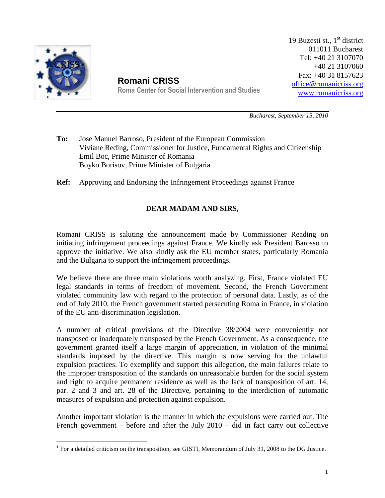

 $\overline{a}$ 

**Romani CRISS** Roma Center for Social Intervention and Studies 19 Buzesti st.,  $1<sup>st</sup>$  district 011011 Bucharest Tel: +40 21 3107070 +40 21 3107060 Fax: +40 31 8157623 office@romanicriss.org www.romanicriss.org

*Bucharest, September 15, 2010* 

**To:** Jose Manuel Barroso, President of the European Commission Viviane Reding, Commissioner for Justice, Fundamental Rights and Citizenship Emil Boc, Prime Minister of Romania Boyko Borisov, Prime Minister of Bulgaria

**Ref:** Approving and Endorsing the Infringement Proceedings against France

## **DEAR MADAM AND SIRS,**

Romani CRISS is saluting the announcement made by Commissioner Reading on initiating infringement proceedings against France. We kindly ask President Barosso to approve the initiative. We also kindly ask the EU member states, particularly Romania and the Bulgaria to support the infringement proceedings.

We believe there are three main violations worth analyzing. First, France violated EU legal standards in terms of freedom of movement. Second, the French Government violated community law with regard to the protection of personal data. Lastly, as of the end of July 2010, the French government started persecuting Roma in France, in violation of the EU anti-discrimination legislation.

A number of critical provisions of the Directive 38/2004 were conveniently not transposed or inadequately transposed by the French Government. As a consequence, the government granted itself a large margin of appreciation, in violation of the minimal standards imposed by the directive. This margin is now serving for the unlawful expulsion practices. To exemplify and support this allegation, the main failures relate to the improper transposition of the standards on unreasonable burden for the social system and right to acquire permanent residence as well as the lack of transposition of art. 14, par. 2 and 3 and art. 28 of the Directive, pertaining to the interdiction of automatic measures of expulsion and protection against expulsion.<sup>1</sup>

Another important violation is the manner in which the expulsions were carried out. The French government – before and after the July 2010 – did in fact carry out collective

<sup>&</sup>lt;sup>1</sup> For a detailed criticism on the transposition, see GISTI, Memorandum of July 31, 2008 to the DG Justice.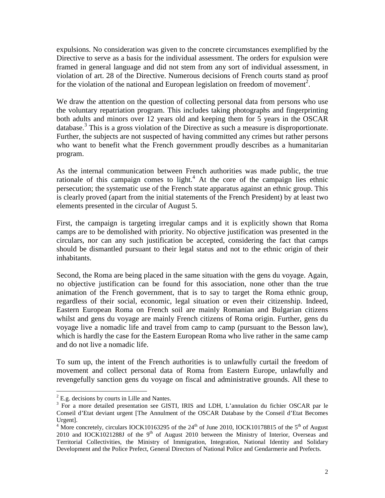expulsions. No consideration was given to the concrete circumstances exemplified by the Directive to serve as a basis for the individual assessment. The orders for expulsion were framed in general language and did not stem from any sort of individual assessment, in violation of art. 28 of the Directive. Numerous decisions of French courts stand as proof for the violation of the national and European legislation on freedom of movement<sup>2</sup>.

We draw the attention on the question of collecting personal data from persons who use the voluntary repatriation program. This includes taking photographs and fingerprinting both adults and minors over 12 years old and keeping them for 5 years in the OSCAR database.<sup>3</sup> This is a gross violation of the Directive as such a measure is disproportionate. Further, the subjects are not suspected of having committed any crimes but rather persons who want to benefit what the French government proudly describes as a humanitarian program.

As the internal communication between French authorities was made public, the true rationale of this campaign comes to light.<sup>4</sup> At the core of the campaign lies ethnic persecution; the systematic use of the French state apparatus against an ethnic group. This is clearly proved (apart from the initial statements of the French President) by at least two elements presented in the circular of August 5.

First, the campaign is targeting irregular camps and it is explicitly shown that Roma camps are to be demolished with priority. No objective justification was presented in the circulars, nor can any such justification be accepted, considering the fact that camps should be dismantled pursuant to their legal status and not to the ethnic origin of their inhabitants.

Second, the Roma are being placed in the same situation with the gens du voyage. Again, no objective justification can be found for this association, none other than the true animation of the French government, that is to say to target the Roma ethnic group, regardless of their social, economic, legal situation or even their citizenship. Indeed, Eastern European Roma on French soil are mainly Romanian and Bulgarian citizens whilst and gens du voyage are mainly French citizens of Roma origin. Further, gens du voyage live a nomadic life and travel from camp to camp (pursuant to the Besson law), which is hardly the case for the Eastern European Roma who live rather in the same camp and do not live a nomadic life.

To sum up, the intent of the French authorities is to unlawfully curtail the freedom of movement and collect personal data of Roma from Eastern Europe, unlawfully and revengefully sanction gens du voyage on fiscal and administrative grounds. All these to

E.g. decisions by courts in Lille and Nantes.

<sup>&</sup>lt;sup>3</sup> For a more detailed presentation see GISTI, IRIS and LDH, L'annulation du fichier OSCAR par le Conseil d'Etat deviant urgent [The Annulment of the OSCAR Database by the Conseil d'Etat Becomes Urgent].

<sup>&</sup>lt;sup>4</sup> More concretely, circulars IOCK10163295 of the 24<sup>th</sup> of June 2010, IOCK10178815 of the 5<sup>th</sup> of August 2010 and IOCK1021288J of the  $9<sup>th</sup>$  of August 2010 between the Ministry of Interior, Overseas and Territorial Collectivities, the Ministry of Immigration, Integration, National Identity and Solidary Development and the Police Prefect, General Directors of National Police and Gendarmerie and Prefects.